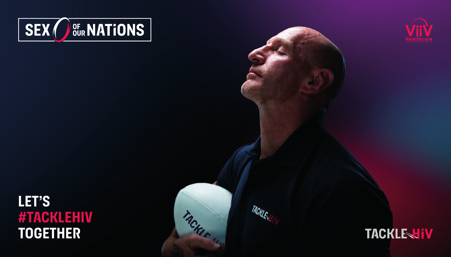



# LET'S<br>#TACKLEHIV **toget her**



TACKLESS

TACKLE 117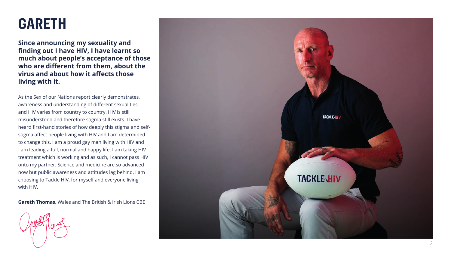### **garet h**

**Since announcing my sexuality and finding out I have HIV, I have learnt so much about people's acceptance of those who are different from them, about the virus and about how it affects those living with it.** 

As the Sex of our Nations report clearly demonstrates, awareness and understanding of different sexualities and HIV varies from country to country. HIV is still misunderstood and therefore stigma still exists. I have heard first-hand stories of how deeply this stigma and selfstigma affect people living with HIV and I am determined to change this. I am a proud gay man living with HIV and I am leading a full, normal and happy life. I am taking HIV treatment which is working and as such, I cannot pass HIV onto my partner. Science and medicine are so advanced now but public awareness and attitudes lag behind. I am choosing to Tackle HIV, for myself and everyone living with HIV.

**Gareth Thomas**, Wales and The British & Irish Lions CBE

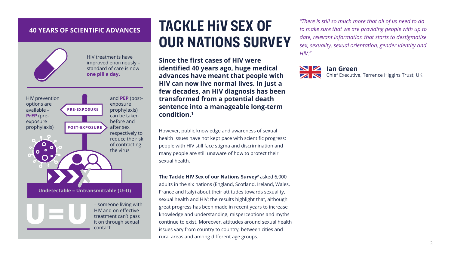#### **40 YEARS OF SCIENTIFIC ADVANCES**



HIV treatments have improved enormously – standard of care is now **one pill a day.**



### **Tackle HIV Sex of our Nations Survey**

**Since the first cases of HIV were identified 40 years ago, huge medical advances have meant that people with HIV can now live normal lives. In just a few decades, an HIV diagnosis has been transformed from a potential death sentence into a manageable long-term condition.<sup>1</sup>**

However, public knowledge and awareness of sexual health issues have not kept pace with scientific progress; people with HIV still face stigma and discrimination and many people are still unaware of how to protect their sexual health.

**The Tackle HIV Sex of our Nations Survey<sup>2</sup>** asked 6,000 adults in the six nations (England, Scotland, Ireland, Wales, France and Italy) about their attitudes towards sexuality, sexual health and HIV; the results highlight that, although great progress has been made in recent years to increase knowledge and understanding, misperceptions and myths continue to exist. Moreover, attitudes around sexual health issues vary from country to country, between cities and rural areas and among different age groups.

*"There is still so much more that all of us need to do to make sure that we are providing people with up to date, relevant information that starts to destigmatise sex, sexuality, sexual orientation, gender identity and HIV."*



**Ian Green**

Chief Executive, Terrence Higgins Trust, UK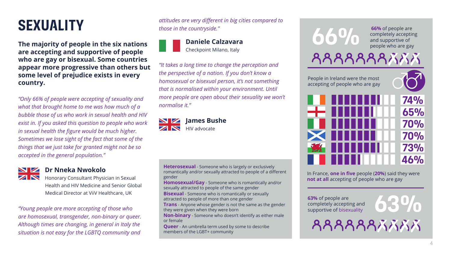### **Sexuality**

**The majority of people in the six nations are accepting and supportive of people who are gay or bisexual. Some countries appear more progressive than others but some level of prejudice exists in every country.**

*"Only 66% of people were accepting of sexuality and what that brought home to me was how much of a bubble those of us who work in sexual health and HIV exist in. If you asked this question to people who work in sexual health the figure would be much higher. Sometimes we lose sight of the fact that some of the things that we just take for granted might not be so accepted in the general population."* 



### **Dr Nneka Nwokolo**

Honorary Consultant Physician in Sexual Health and HIV Medicine and Senior Global Medical Director at ViiV Healthcare, UK

*"Young people are more accepting of those who are homosexual, transgender, non-binary or queer. Although times are changing, in general in Italy the situation is not easy for the LGBTQ community and*  *attitudes are very different in big cities compared to those in the countryside."* 

#### **Daniele Calzavara** Checkpoint Milano, Italy

*"It takes a long time to change the perception and the perspective of a nation. If you don't know a homosexual or bisexual person, it's not something that is normalised within your environment. Until more people are open about their sexuality we won't normalise it."* 



**Heterosexual** - Someone who is largely or exclusively romantically and/or sexually attracted to people of a different gender

**Homosexual/Gay** - Someone who is romantically and/or sexually attracted to people of the same gender

**Bisexual** - Someone who is romantically or sexually attracted to people of more than one gender

**Trans** - Anyone whose gender is not the same as the gender they were given when they were born

**Non-binary** - Someone who doesn't identify as either male or female

**Queer** - An umbrella term used by some to describe members of the LGBT+ community



In France, **one in five** people (**20%**) said they were **not at all** accepting of people who are gay

**63%** of people are completely accepting and supportive of bisexuality

**63%**

**AAAAAAAAAAA**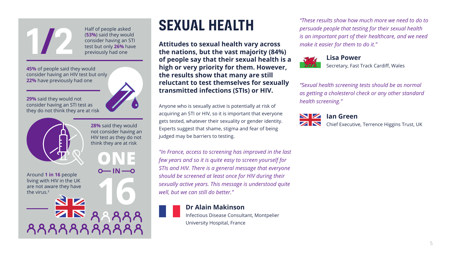Half of people asked (**53%**) said they would consider having an STI test but only **26%** have previously had one

**45%** of people said they would consider having an HIV test but only **22%** have previously had one

**29%** said they would not consider having an STI test as they do not think they are at risk



**1/2**

Around **1 in 16** people living with HIV in the UK are not aware they have the virus.3

N

8888888888

**28%** said they would not consider having an HIV test as they do not think they are at risk

**16**

 $0 - IN - 0$ 



**Attitudes to sexual health vary across the nations, but the vast majority (84%) of people say that their sexual health is a high or very priority for them. However, the results show that many are still reluctant to test themselves for sexually transmitted infections (STIs) or HIV.** 

Anyone who is sexually active is potentially at risk of acquiring an STI or HIV, so it is important that everyone gets tested, whatever their sexuality or gender identity. Experts suggest that shame, stigma and fear of being judged may be barriers to testing.

*"In France, access to screening has improved in the last few years and so it is quite easy to screen yourself for STIs and HIV. There is a general message that everyone should be screened at least once for HIV during their sexually active years. This message is understood quite well, but we can still do better."* 

#### **Dr Alain Makinson**

Infectious Disease Consultant, Montpelier University Hospital, France

*"These results show how much more we need to do to persuade people that testing for their sexual health is an important part of their healthcare, and we need make it easier for them to do it."*



Secretary, Fast Track Cardiff, Wales

*"Sexual health screening tests should be as normal as getting a cholesterol check or any other standard health screening."* 



**Ian Green**

ZN Chief Executive, Terrence Higgins Trust, UK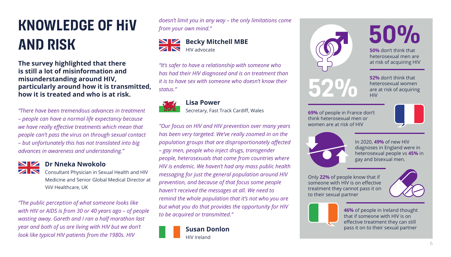# **Knowledge of HIV and risk**

**The survey highlighted that there is still a lot of misinformation and misunderstanding around HIV, particularly around how it is transmitted, how it is treated and who is at risk.**

*"There have been tremendous advances in treatment – people can have a normal life expectancy because we have really effective treatments which mean that people can't pass the virus on through sexual contact – but unfortunately this has not translated into big advances in awareness and understanding."* 



#### **Dr Nneka Nwokolo**

Consultant Physician in Sexual Health and HIV Medicine and Senior Global Medical Director at ViiV Healthcare, UK

*"The public perception of what someone looks like with HIV or AIDS is from 30 or 40 years ago – of people wasting away. Gareth and I ran a half marathon last year and both of us are living with HIV but we don't look like typical HIV patients from the 1980s. HIV* 

*doesn't limit you in any way – the only limitations come from your own mind."* 

#### **Becky Mitchell MBE**  $\overline{\mathbf{z}}$   $\overline{\mathbf{w}}$ HIV advocate

*"It's safer to have a relationship with someone who has had their HIV diagnosed and is on treatment than it is to have sex with someone who doesn't know their status."* 



#### **Lisa Power**

Secretary, Fast Track Cardiff, Wales

*"Our focus on HIV and HIV prevention over many years has been very targeted. We've really zoomed in on the population groups that are disproportionately affected – gay men, people who inject drugs, transgender people, heterosexuals that come from countries where HIV is endemic. We haven't had any mass public health messaging for just the general population around HIV prevention, and because of that focus some people haven't received the messages at all. We need to remind the whole population that it's not who you are but what you do that provides the opportunity for HIV to be acquired or transmitted."*





**52%** don't think that heterosexual women are at risk of acquiring **HIV** 

**50%** don't think that heterosexual men are at risk of acquiring HIV

**50%**

**69%** of people in France don't think heterosexual men or women are at risk of HIV



In 2020, **49%** of new HIV diagnoses in England were in heterosexual people vs **45%** in gay and bisexual men.

Only **22%** of people know that if someone with HIV is on effective treatment they cannot pass it on to their sexual partner





**46%** of people in Ireland thought that if someone with HIV is on effective treatment they can still pass it on to their sexual partner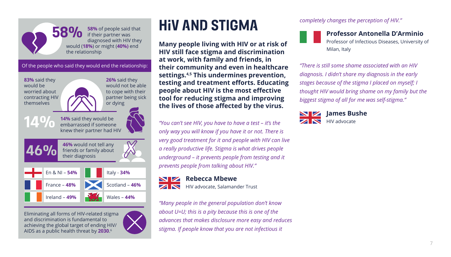

**58%** of people said that if their partner was diagnosed with HIV they would (**18%**) or might (**40%)** end the relationship

Of the people who said they would end the relationship:



**26%** said they would not be able to cope with their partner being sick or dying

**14%**





Eliminating all forms of HIV-related stigma and discrimination is fundamental to achieving the global target of ending HIV/ AIDS as a public health threat by **2030**. 6



### **HIV and stigma**

**Many people living with HIV or at risk of HIV still face stigma and discrimination at work, with family and friends, in their community and even in healthcare settings.4,5 This undermines prevention, testing and treatment efforts. Educating people about HIV is the most effective tool for reducing stigma and improving the lives of those affected by the virus.** 

*"You can't see HIV, you have to have a test – it's the only way you will know if you have it or not. There is very good treatment for it and people with HIV can live a really productive life. Stigma is what drives people underground – it prevents people from testing and it prevents people from talking about HIV."* 

#### **NZ Rebecca Mbewe** ZN

HIV advocate, Salamander Trust

*"Many people in the general population don't know about U=U; this is a pity because this is one of the advances that makes disclosure more easy and reduces stigma. If people know that you are not infectious it* 

*completely changes the perception of HIV."* 

### **Professor Antonella D'Arminio**

Professor of Infectious Diseases, University of Milan, Italy

*"There is still some shame associated with an HIV diagnosis. I didn't share my diagnosis in the early stages because of the stigma I placed on myself; I thought HIV would bring shame on my family but the biggest stigma of all for me was self-stigma."* 

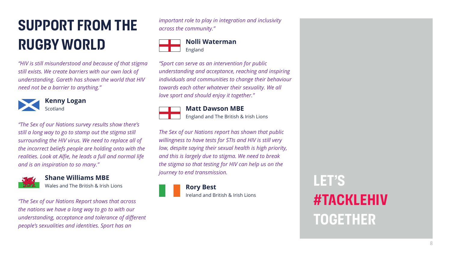# **Support from the rugby world**

*"HIV is still misunderstood and because of that stigma still exists. We create barriers with our own lack of understanding. Gareth has shown the world that HIV need not be a barrier to anything."*



#### **Kenny Logan** Scotland

*"The Sex of our Nations survey results show there's still a long way to go to stamp out the stigma still surrounding the HIV virus. We need to replace all of the incorrect beliefs people are holding onto with the realities. Look at Alfie, he leads a full and normal life and is an inspiration to so many."*



### **Shane Williams MBE**

Wales and The British & Irish Lions

*"The Sex of our Nations Report shows that across the nations we have a long way to go to with our understanding, acceptance and tolerance of different people's sexualities and identities. Sport has an* 

*important role to play in integration and inclusivity across the community."*

### **Nolli Waterman** England

*"Sport can serve as an intervention for public understanding and acceptance, reaching and inspiring individuals and communities to change their behaviour towards each other whatever their sexuality. We all love sport and should enjoy it together."*



### **Matt Dawson MBE**

England and The British & Irish Lions

*The Sex of our Nations report has shown that public willingness to have tests for STIs and HIV is still very low, despite saying their sexual health is high priority, and this is largely due to stigma. We need to break the stigma so that testing for HIV can help us on the journey to end transmission.*

> **Rory Best** Ireland and British & Irish Lions

**Let's #TackleHiV together**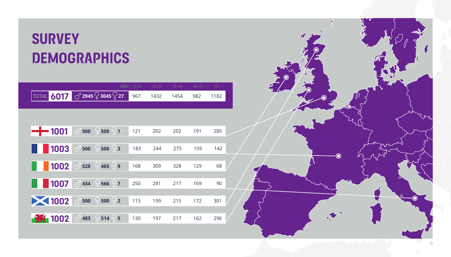# **Survey Demographics**

|               |             |                                                | AGE: 18-24 | 25-34 | $35 - 44$ | 45-54 | $55+$ |  |
|---------------|-------------|------------------------------------------------|------------|-------|-----------|-------|-------|--|
| <b>TOTAL</b>  |             | $6017$ $\circ$ 2945 $\circ$ 3045 $\circ$ 27    | 967        | 1432  | 1454      | 982   | 1182  |  |
|               |             |                                                |            |       |           |       |       |  |
|               |             |                                                |            |       |           |       |       |  |
| $-$ 1001      |             | $\circ$ 500 $\circ$ 500 $\circ$ 1              | 121        | 202   | 202       | 191   | 285   |  |
|               |             |                                                |            |       |           |       |       |  |
| 1003          | $\circ$ 500 | $500 - 3$<br>$\clubsuit$                       | 183        | 244   | 275       | 159   | 142   |  |
|               |             |                                                |            |       |           |       |       |  |
|               |             | $1002$ $\circ$ 528 $\frac{0}{465}$ $\circ$ 9   | 168        | 309   | 328       | 129   | 68    |  |
|               |             |                                                |            |       |           |       |       |  |
| 1007          |             | $\circ$ 434 $\circ$ 566 $\circ$ 7              | 250        | 281   | 217       | 169   | 90    |  |
|               |             |                                                |            |       |           |       |       |  |
| ■ 1002 3500 ₽ |             | $500 \div 2$                                   | 115        | 199   | 215       | 172   | 301   |  |
|               |             |                                                |            |       |           |       |       |  |
| <b>餐 1002</b> |             | $\circ$ <sup>1</sup> 483 $\circ$ 514 $\circ$ 5 | 130        | 197   | 217       | 162   | 296   |  |



 $\overrightarrow{y}$ 

**ANSIE**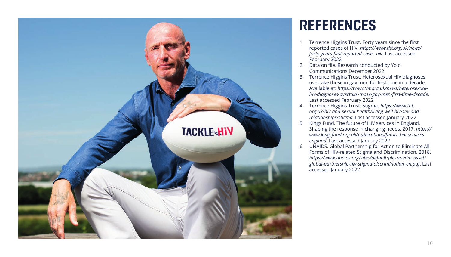

### **references**

- 1. Terrence Higgins Trust. Forty years since the first reported cases of HIV. *https://www.tht.org.uk/news/ forty-years-first-reported-cases-hiv*. Last accessed February 2022
- 2. Data on file. Research conducted by Yolo Communications December 2022
- 3. Terrence Higgins Trust. Heterosexual HIV diagnoses overtake those in gay men for first time in a decade. Available at: *https://www.tht.org.uk/news/heterosexualhiv-diagnoses-overtake-those-gay-men-first-time-decade*. Last accessed February 2022
- 4. Terrence Higgins Trust. Stigma. *https://www.tht. org.uk/hiv-and-sexual-health/living-well-hiv/sex-andrelationships/stigma.* Last accessed January 2022
- 5. Kings Fund. The future of HIV services in England. Shaping the response in changing needs. 2017. *https:// www.kingsfund.org.uk/publications/future-hiv-servicesengland.* Last accessed January 2022
- 6. UNAIDS. Global Partnership for Action to Eliminate All Forms of HIV-related Stigma and Discrimination. 2018. *https://www.unaids.org/sites/default/files/media\_asset/ global-partnership-hiv-stigma-discrimination\_en.pdf*. Last accessed January 2022